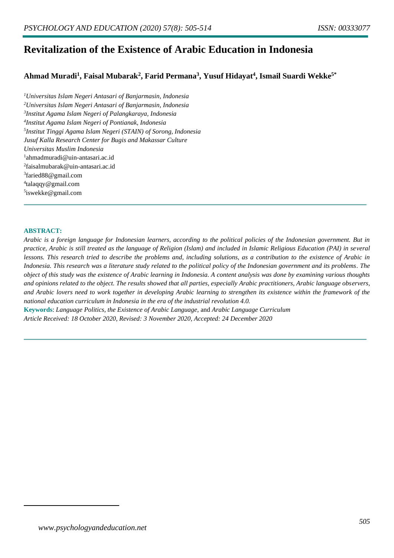# **Revitalization of the Existence of Arabic Education in Indonesia**

# **Ahmad Muradi<sup>1</sup> , Faisal Mubarak<sup>2</sup> , Farid Permana<sup>3</sup> , Yusuf Hidayat<sup>4</sup> , Ismail Suardi Wekke5\***

*Universitas Islam Negeri Antasari of Banjarmasin, Indonesia Universitas Islam Negeri Antasari of Banjarmasin, Indonesia Institut Agama Islam Negeri of Palangkaraya, Indonesia Institut Agama Islam Negeri of Pontianak, Indonesia Institut Tinggi Agama Islam Negeri (STAIN) of Sorong, Indonesia Jusuf Kalla Research Center for Bugis and Makassar Culture Universitas Muslim Indonesia* ahmadmuradi@uin-antasari.ac.id faisalmubarak@uin-antasari.ac.id faried88@gmail.com talaqqy@gmail.com iswekke@gmail.com

#### **ABSTRACT:**

*Arabic is a foreign language for Indonesian learners, according to the political policies of the Indonesian government. But in practice, Arabic is still treated as the language of Religion (Islam) and included in Islamic Religious Education (PAI) in several lessons. This research tried to describe the problems and, including solutions, as a contribution to the existence of Arabic in Indonesia. This research was a literature study related to the political policy of the Indonesian government and its problems. The object of this study was the existence of Arabic learning in Indonesia. A content analysis was done by examining various thoughts and opinions related to the object. The results showed that all parties, especially Arabic practitioners, Arabic language observers, and Arabic lovers need to work together in developing Arabic learning to strengthen its existence within the framework of the national education curriculum in Indonesia in the era of the industrial revolution 4.0.*

**Keywords**: *Language Politics, the Existence of Arabic Language,* and *Arabic Language Curriculum Article Received: 18 October 2020, Revised: 3 November 2020, Accepted: 24 December 2020*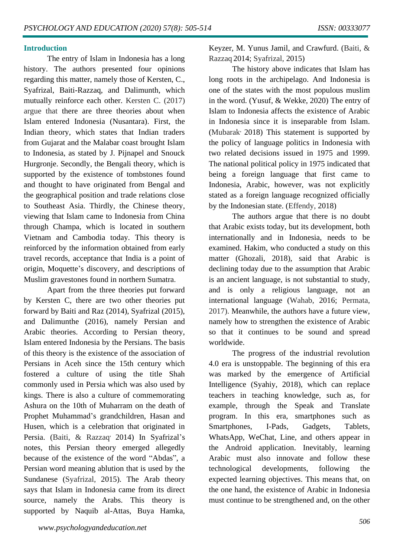#### **Introduction**

The entry of Islam in Indonesia has a long history. The authors presented four opinions regarding this matter, namely those of Kersten, C., Syafrizal, Baiti-Razzaq, and Dalimunth, which mutually reinforce each other. Kersten C. (2017) argue that there are three theories about when Islam entered Indonesia (Nusantara). First, the Indian theory, which states that Indian traders from Gujarat and the Malabar coast brought Islam to Indonesia, as stated by J. Pijnapel and Snouck Hurgronje. Secondly, the Bengali theory, which is supported by the existence of tombstones found and thought to have originated from Bengal and the geographical position and trade relations close to Southeast Asia. Thirdly, the Chinese theory, viewing that Islam came to Indonesia from China through Champa, which is located in southern Vietnam and Cambodia today. This theory is reinforced by the information obtained from early travel records, acceptance that India is a point of origin, Moquette's discovery, and descriptions of Muslim gravestones found in northern Sumatra.

Apart from the three theories put forward by Kersten C, there are two other theories put forward by Baiti and Raz (2014), Syafrizal (2015), and Dalimunthe (2016), namely Persian and Arabic theories. According to Persian theory, Islam entered Indonesia by the Persians. The basis of this theory is the existence of the association of Persians in Aceh since the 15th century which fostered a culture of using the title Shah commonly used in Persia which was also used by kings. There is also a culture of commemorating Ashura on the 10th of Muharram on the death of Prophet Muhammad's grandchildren, Hasan and Husen, which is a celebration that originated in Persia. (Baiti, & Razzaq<sup>, 2014</sup>) In Syafrizal's notes, this Persian theory emerged allegedly because of the existence of the word "Abdas", a Persian word meaning ablution that is used by the Sundanese (Syafrizal, 2015). The Arab theory says that Islam in Indonesia came from its direct source, namely the Arabs. This theory is supported by Naquib al-Attas, Buya Hamka,

Keyzer, M. Yunus Jamil, and Crawfurd. (Baiti, & Razzaq 2014; Syafrizal, 2015)

The history above indicates that Islam has long roots in the archipelago. And Indonesia is one of the states with the most populous muslim in the word. (Yusuf, & Wekke, 2020) The entry of Islam to Indonesia affects the existence of Arabic in Indonesia since it is inseparable from Islam. (Mubarak<sup>, 2018</sup>) This statement is supported by the policy of language politics in Indonesia with two related decisions issued in 1975 and 1999. The national political policy in 1975 indicated that being a foreign language that first came to Indonesia, Arabic, however, was not explicitly stated as a foreign language recognized officially by the Indonesian state. (Effendy, 2018)

The authors argue that there is no doubt that Arabic exists today, but its development, both internationally and in Indonesia, needs to be examined. Hakim, who conducted a study on this matter (Ghozali, 2018), said that Arabic is declining today due to the assumption that Arabic is an ancient language, is not substantial to study, and is only a religious language, not an international language (Wahab, 2016; Permata, 2017). Meanwhile, the authors have a future view, namely how to strengthen the existence of Arabic so that it continues to be sound and spread worldwide.

The progress of the industrial revolution 4.0 era is unstoppable. The beginning of this era was marked by the emergence of Artificial Intelligence (Syahiy, 2018), which can replace teachers in teaching knowledge, such as, for example, through the Speak and Translate program. In this era, smartphones such as Smartphones, I-Pads, Gadgets, Tablets, WhatsApp, WeChat, Line, and others appear in the Android application. Inevitably, learning Arabic must also innovate and follow these technological developments, following the expected learning objectives. This means that, on the one hand, the existence of Arabic in Indonesia must continue to be strengthened and, on the other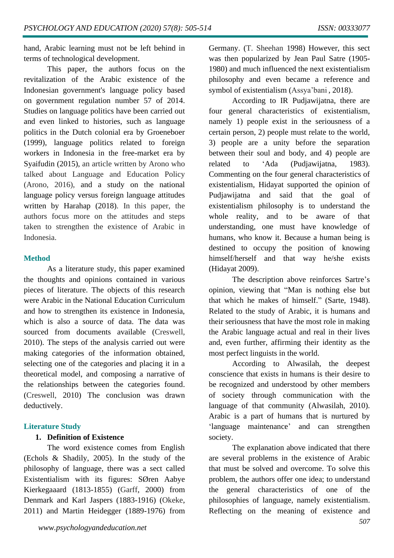hand, Arabic learning must not be left behind in terms of technological development.

This paper, the authors focus on the revitalization of the Arabic existence of the Indonesian government's language policy based on government regulation number 57 of 2014. Studies on language politics have been carried out and even linked to histories, such as language politics in the Dutch colonial era by Groeneboer (1999), language politics related to foreign workers in Indonesia in the free-market era by Syaifudin (2015), an article written by Arono who talked about Language and Education Policy (Arono, 2016), and a study on the national language policy versus foreign language attitudes written by Harahap (2018). In this paper, the authors focus more on the attitudes and steps taken to strengthen the existence of Arabic in Indonesia.

#### **Method**

As a literature study, this paper examined the thoughts and opinions contained in various pieces of literature. The objects of this research were Arabic in the National Education Curriculum and how to strengthen its existence in Indonesia, which is also a source of data. The data was sourced from documents available (Creswell, 2010). The steps of the analysis carried out were making categories of the information obtained, selecting one of the categories and placing it in a theoretical model, and composing a narrative of the relationships between the categories found. (Creswell, 2010) The conclusion was drawn deductively.

# **Literature Study**

# **1. Definition of Existence**

The word existence comes from English (Echols & Shadily, 2005). In the study of the philosophy of language, there was a sect called Existentialism with its figures: SØren Aabye Kierkegaaard (1813-1855) (Garff, 2000) from Denmark and Karl Jaspers (1883-1916) (Okeke, 2011) and Martin Heidegger (1889-1976) from Germany. (T. Sheehan 1998) However, this sect was then popularized by Jean Paul Satre (1905- 1980) and much influenced the next existentialism philosophy and even became a reference and symbol of existentialism (Assya'bani , 2018).

According to IR Pudjawijatna, there are four general characteristics of existentialism, namely 1) people exist in the seriousness of a certain person, 2) people must relate to the world, 3) people are a unity before the separation between their soul and body, and 4) people are related to 'Ada (Pudjawijatna, 1983). Commenting on the four general characteristics of existentialism, Hidayat supported the opinion of Pudjawijatna and said that the goal of existentialism philosophy is to understand the whole reality, and to be aware of that understanding, one must have knowledge of humans, who know it. Because a human being is destined to occupy the position of knowing himself/herself and that way he/she exists (Hidayat 2009).

The description above reinforces Sartre's opinion, viewing that "Man is nothing else but that which he makes of himself." (Sarte, 1948). Related to the study of Arabic, it is humans and their seriousness that have the most role in making the Arabic language actual and real in their lives and, even further, affirming their identity as the most perfect linguists in the world.

According to Alwasilah, the deepest conscience that exists in humans is their desire to be recognized and understood by other members of society through communication with the language of that community (Alwasilah, 2010). Arabic is a part of humans that is nurtured by 'language maintenance' and can strengthen society.

The explanation above indicated that there are several problems in the existence of Arabic that must be solved and overcome. To solve this problem, the authors offer one idea; to understand the general characteristics of one of the philosophies of language, namely existentialism. Reflecting on the meaning of existence and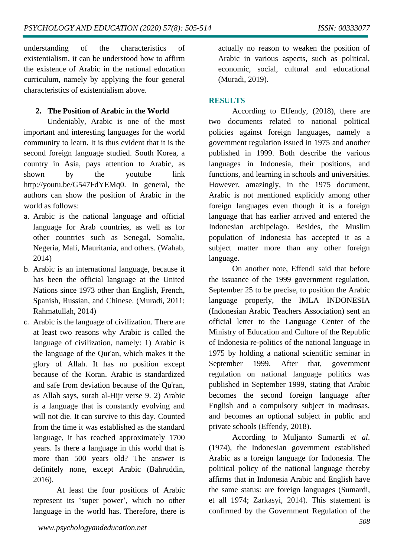understanding of the characteristics of existentialism, it can be understood how to affirm the existence of Arabic in the national education curriculum, namely by applying the four general characteristics of existentialism above.

# **2. The Position of Arabic in the World**

Undeniably, Arabic is one of the most important and interesting languages for the world community to learn. It is thus evident that it is the second foreign language studied. South Korea, a country in Asia, pays attention to Arabic, as shown by the youtube link http://youtu.be/G547FdYEMq0. In general, the authors can show the position of Arabic in the world as follows:

- a. Arabic is the national language and official language for Arab countries, as well as for other countries such as Senegal, Somalia, Negeria, Mali, Mauritania, and others. (Wahab, 2014)
- b. Arabic is an international language, because it has been the official language at the United Nations since 1973 other than English, French, Spanish, Russian, and Chinese. (Muradi, 2011; Rahmatullah, 2014)
- c. Arabic is the language of civilization. There are at least two reasons why Arabic is called the language of civilization, namely: 1) Arabic is the language of the Qur'an, which makes it the glory of Allah. It has no position except because of the Koran. Arabic is standardized and safe from deviation because of the Qu'ran, as Allah says, surah al-Hijr verse 9. 2) Arabic is a language that is constantly evolving and will not die. It can survive to this day. Counted from the time it was established as the standard language, it has reached approximately 1700 years. Is there a language in this world that is more than 500 years old? The answer is definitely none, except Arabic (Bahruddin, 2016).

At least the four positions of Arabic represent its 'super power', which no other language in the world has. Therefore, there is actually no reason to weaken the position of Arabic in various aspects, such as political, economic, social, cultural and educational (Muradi, 2019).

# **RESULTS**

According to Effendy, (2018), there are two documents related to national political policies against foreign languages, namely a government regulation issued in 1975 and another published in 1999. Both describe the various languages in Indonesia, their positions, and functions, and learning in schools and universities. However, amazingly, in the 1975 document, Arabic is not mentioned explicitly among other foreign languages even though it is a foreign language that has earlier arrived and entered the Indonesian archipelago. Besides, the Muslim population of Indonesia has accepted it as a subject matter more than any other foreign language.

On another note, Effendi said that before the issuance of the 1999 government regulation, September 25 to be precise, to position the Arabic language properly, the IMLA INDONESIA (Indonesian Arabic Teachers Association) sent an official letter to the Language Center of the Ministry of Education and Culture of the Republic of Indonesia re-politics of the national language in 1975 by holding a national scientific seminar in September 1999. After that, government regulation on national language politics was published in September 1999, stating that Arabic becomes the second foreign language after English and a compulsory subject in madrasas, and becomes an optional subject in public and private schools (Effendy, 2018).

According to Muljanto Sumardi *et al*. (1974), the Indonesian government established Arabic as a foreign language for Indonesia. The political policy of the national language thereby affirms that in Indonesia Arabic and English have the same status: are foreign languages (Sumardi, et all 1974; Zarkasyi, 2014). This statement is confirmed by the Government Regulation of the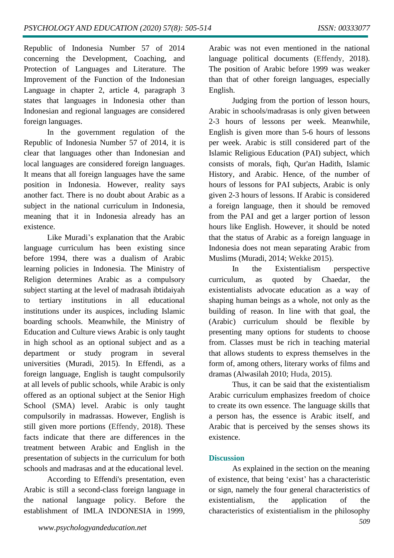Republic of Indonesia Number 57 of 2014 concerning the Development, Coaching, and Protection of Languages and Literature. The Improvement of the Function of the Indonesian Language in chapter 2, article 4, paragraph 3 states that languages in Indonesia other than Indonesian and regional languages are considered foreign languages.

In the government regulation of the Republic of Indonesia Number 57 of 2014, it is clear that languages other than Indonesian and local languages are considered foreign languages. It means that all foreign languages have the same position in Indonesia. However, reality says another fact. There is no doubt about Arabic as a subject in the national curriculum in Indonesia, meaning that it in Indonesia already has an existence.

Like Muradi's explanation that the Arabic language curriculum has been existing since before 1994, there was a dualism of Arabic learning policies in Indonesia. The Ministry of Religion determines Arabic as a compulsory subject starting at the level of madrasah ibtidaiyah to tertiary institutions in all educational institutions under its auspices, including Islamic boarding schools. Meanwhile, the Ministry of Education and Culture views Arabic is only taught in high school as an optional subject and as a department or study program in several universities (Muradi, 2015). In Effendi, as a foreign language, English is taught compulsorily at all levels of public schools, while Arabic is only offered as an optional subject at the Senior High School (SMA) level. Arabic is only taught compulsorily in madrassas. However, English is still given more portions (Effendy, 2018). These facts indicate that there are differences in the treatment between Arabic and English in the presentation of subjects in the curriculum for both schools and madrasas and at the educational level.

According to Effendi's presentation, even Arabic is still a second-class foreign language in the national language policy. Before the establishment of IMLA INDONESIA in 1999, Arabic was not even mentioned in the national language political documents (Effendy, 2018). The position of Arabic before 1999 was weaker than that of other foreign languages, especially English.

Judging from the portion of lesson hours, Arabic in schools/madrasas is only given between 2-3 hours of lessons per week. Meanwhile, English is given more than 5-6 hours of lessons per week. Arabic is still considered part of the Islamic Religious Education (PAI) subject, which consists of morals, fiqh, Qur'an Hadith, Islamic History, and Arabic. Hence, of the number of hours of lessons for PAI subjects, Arabic is only given 2-3 hours of lessons. If Arabic is considered a foreign language, then it should be removed from the PAI and get a larger portion of lesson hours like English. However, it should be noted that the status of Arabic as a foreign language in Indonesia does not mean separating Arabic from Muslims (Muradi, 2014; Wekke 2015).

In the Existentialism perspective curriculum, as quoted by Chaedar, the existentialists advocate education as a way of shaping human beings as a whole, not only as the building of reason. In line with that goal, the (Arabic) curriculum should be flexible by presenting many options for students to choose from. Classes must be rich in teaching material that allows students to express themselves in the form of, among others, literary works of films and dramas (Alwasilah 2010; Huda, 2015).

Thus, it can be said that the existentialism Arabic curriculum emphasizes freedom of choice to create its own essence. The language skills that a person has, the essence is Arabic itself, and Arabic that is perceived by the senses shows its existence.

# **Discussion**

*509* As explained in the section on the meaning of existence, that being 'exist' has a characteristic or sign, namely the four general characteristics of existentialism, the application of the characteristics of existentialism in the philosophy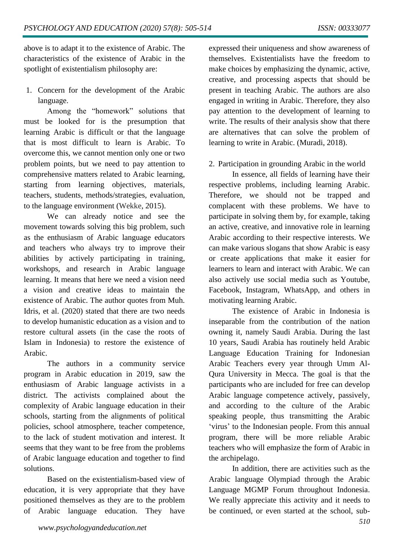above is to adapt it to the existence of Arabic. The characteristics of the existence of Arabic in the spotlight of existentialism philosophy are:

1. Concern for the development of the Arabic language.

Among the "homework" solutions that must be looked for is the presumption that learning Arabic is difficult or that the language that is most difficult to learn is Arabic. To overcome this, we cannot mention only one or two problem points, but we need to pay attention to comprehensive matters related to Arabic learning, starting from learning objectives, materials, teachers, students, methods/strategies, evaluation, to the language environment (Wekke, 2015).

We can already notice and see the movement towards solving this big problem, such as the enthusiasm of Arabic language educators and teachers who always try to improve their abilities by actively participating in training, workshops, and research in Arabic language learning. It means that here we need a vision need a vision and creative ideas to maintain the existence of Arabic. The author quotes from Muh. Idris, et al. (2020) stated that there are two needs to develop humanistic education as a vision and to restore cultural assets (in the case the roots of Islam in Indonesia) to restore the existence of Arabic.

The authors in a community service program in Arabic education in 2019, saw the enthusiasm of Arabic language activists in a district. The activists complained about the complexity of Arabic language education in their schools, starting from the alignments of political policies, school atmosphere, teacher competence, to the lack of student motivation and interest. It seems that they want to be free from the problems of Arabic language education and together to find solutions.

Based on the existentialism-based view of education, it is very appropriate that they have positioned themselves as they are to the problem of Arabic language education. They have expressed their uniqueness and show awareness of themselves. Existentialists have the freedom to make choices by emphasizing the dynamic, active, creative, and processing aspects that should be present in teaching Arabic. The authors are also engaged in writing in Arabic. Therefore, they also pay attention to the development of learning to write. The results of their analysis show that there are alternatives that can solve the problem of learning to write in Arabic. (Muradi, 2018).

2. Participation in grounding Arabic in the world

In essence, all fields of learning have their respective problems, including learning Arabic. Therefore, we should not be trapped and complacent with these problems. We have to participate in solving them by, for example, taking an active, creative, and innovative role in learning Arabic according to their respective interests. We can make various slogans that show Arabic is easy or create applications that make it easier for learners to learn and interact with Arabic. We can also actively use social media such as Youtube, Facebook, Instagram, WhatsApp, and others in motivating learning Arabic.

The existence of Arabic in Indonesia is inseparable from the contribution of the nation owning it, namely Saudi Arabia. During the last 10 years, Saudi Arabia has routinely held Arabic Language Education Training for Indonesian Arabic Teachers every year through Umm Al-Qura University in Mecca. The goal is that the participants who are included for free can develop Arabic language competence actively, passively, and according to the culture of the Arabic speaking people, thus transmitting the Arabic 'virus' to the Indonesian people. From this annual program, there will be more reliable Arabic teachers who will emphasize the form of Arabic in the archipelago.

In addition, there are activities such as the Arabic language Olympiad through the Arabic Language MGMP Forum throughout Indonesia. We really appreciate this activity and it needs to be continued, or even started at the school, sub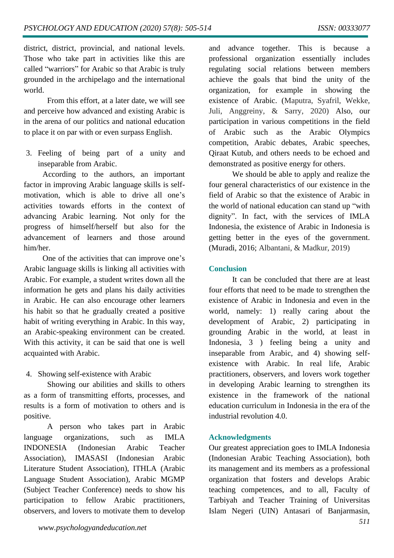district, district, provincial, and national levels. Those who take part in activities like this are called "warriors" for Arabic so that Arabic is truly grounded in the archipelago and the international world.

From this effort, at a later date, we will see and perceive how advanced and existing Arabic is in the arena of our politics and national education to place it on par with or even surpass English.

3. Feeling of being part of a unity and inseparable from Arabic.

According to the authors, an important factor in improving Arabic language skills is selfmotivation, which is able to drive all one's activities towards efforts in the context of advancing Arabic learning. Not only for the progress of himself/herself but also for the advancement of learners and those around him/her.

One of the activities that can improve one's Arabic language skills is linking all activities with Arabic. For example, a student writes down all the information he gets and plans his daily activities in Arabic. He can also encourage other learners his habit so that he gradually created a positive habit of writing everything in Arabic. In this way, an Arabic-speaking environment can be created. With this activity, it can be said that one is well acquainted with Arabic.

#### 4. Showing self-existence with Arabic

Showing our abilities and skills to others as a form of transmitting efforts, processes, and results is a form of motivation to others and is positive.

A person who takes part in Arabic language organizations, such as IMLA INDONESIA (Indonesian Arabic Teacher Association), IMASASI (Indonesian Arabic Literature Student Association), ITHLA (Arabic Language Student Association), Arabic MGMP (Subject Teacher Conference) needs to show his participation to fellow Arabic practitioners, observers, and lovers to motivate them to develop

and advance together. This is because a professional organization essentially includes regulating social relations between members achieve the goals that bind the unity of the organization, for example in showing the existence of Arabic. (Maputra, Syafril, Wekke, Juli, Anggreiny, & Sarry, 2020) Also, our participation in various competitions in the field of Arabic such as the Arabic Olympics competition, Arabic debates, Arabic speeches, Qiraat Kutub, and others needs to be echoed and demonstrated as positive energy for others.

We should be able to apply and realize the four general characteristics of our existence in the field of Arabic so that the existence of Arabic in the world of national education can stand up "with dignity". In fact, with the services of IMLA Indonesia, the existence of Arabic in Indonesia is getting better in the eyes of the government. (Muradi, 2016; Albantani, & Madkur, 2019)

#### **Conclusion**

It can be concluded that there are at least four efforts that need to be made to strengthen the existence of Arabic in Indonesia and even in the world, namely: 1) really caring about the development of Arabic, 2) participating in grounding Arabic in the world, at least in Indonesia, 3 ) feeling being a unity and inseparable from Arabic, and 4) showing selfexistence with Arabic. In real life, Arabic practitioners, observers, and lovers work together in developing Arabic learning to strengthen its existence in the framework of the national education curriculum in Indonesia in the era of the industrial revolution 4.0.

#### **Acknowledgments**

Our greatest appreciation goes to IMLA Indonesia (Indonesian Arabic Teaching Association), both its management and its members as a professional organization that fosters and develops Arabic teaching competences, and to all, Faculty of Tarbiyah and Teacher Training of Universitas Islam Negeri (UIN) Antasari of Banjarmasin,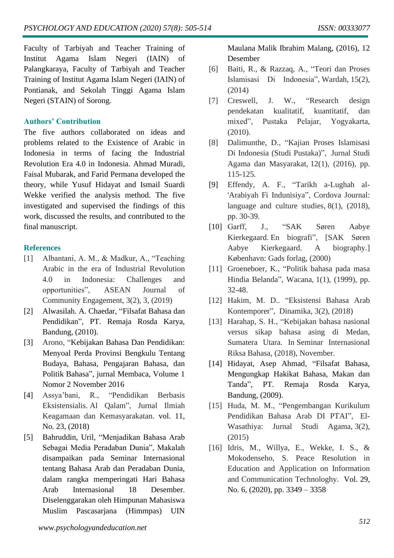Faculty of Tarbiyah and Teacher Training of Institut Agama Islam Negeri (IAIN) of Palangkaraya, Faculty of Tarbiyah and Teacher Training of Institut Agama Islam Negeri (IAIN) of Pontianak, and Sekolah Tinggi Agama Islam Negeri (STAIN) of Sorong.

## **Authors' Contribution**

The five authors collaborated on ideas and problems related to the Existence of Arabic in Indonesia in terms of facing the Industrial Revolution Era 4.0 in Indonesia. Ahmad Muradi, Faisal Mubarak, and Farid Permana developed the theory, while Yusuf Hidayat and Ismail Suardi Wekke verified the analysis method. The five investigated and supervised the findings of this work, discussed the results, and contributed to the final manuscript.

#### **References**

- [1] Albantani, A. M., & Madkur, A., "Teaching Arabic in the era of Industrial Revolution 4.0 in Indonesia: Challenges and opportunities", ASEAN Journal of Community Engagement, 3(2), 3, (2019)
- [2] Alwasilah. A. Chaedar, "Filsafat Bahasa dan Pendidikan", PT. Remaja Rosda Karya, Bandung, (2010).
- [3] Arono, "Kebijakan Bahasa Dan Pendidikan: Menyoal Perda Provinsi Bengkulu Tentang Budaya, Bahasa, Pengajaran Bahasa, dan Politik Bahasa", jurnal Membaca, Volume 1 Nomor 2 November 2016
- [4] Assya'bani, R., "Pendidikan Berbasis Eksistensialis. Al Qalam", Jurnal Ilmiah Keagamaan dan Kemasyarakatan. vol. 11, No. 23, (2018)
- [5] Bahruddin, Uril, "Menjadikan Bahasa Arab Sebagai Media Peradaban Dunia", Makalah disampaikan pada Seminar Internasional tentang Bahasa Arab dan Peradaban Dunia, dalam rangka memperingati Hari Bahasa Arab Internasional 18 Desember. Diselenggarakan oleh Himpunan Mahasiswa Muslim Pascasarjana (Himmpas) UIN

Maulana Malik Ibrahim Malang, (2016), 12 Desember

- [6] Baiti, R., & Razzaq, A., "Teori dan Proses Islamisasi Di Indonesia", Wardah, 15(2), (2014)
- [7] Creswell, J. W., "Research design pendekatan kualitatif, kuantitatif, dan mixed", Pustaka Pelajar, Yogyakarta, (2010).
- [8] Dalimunthe, D., "Kajian Proses Islamisasi Di Indonesia (Studi Pustaka)", Jurnal Studi Agama dan Masyarakat, 12(1), (2016), pp. 115-125.
- [9] Effendy, A. F., "Tarikh a-Lughah al- 'Arabiyah Fi Indunisiya", Cordova Journal: language and culture studies, 8(1), (2018), pp. 30-39.
- [10] Garff, J., "SAK Søren Aabye Kierkegaard. En biografi", [SAK Søren Aabye Kierkegaard. A biography.] København: Gads forlag, (2000)
- [11] Groeneboer, K., "Politik bahasa pada masa Hindia Belanda", Wacana, 1(1), (1999), pp. 32-48.
- [12] Hakim, M. D.. "Eksistensi Bahasa Arab Kontemporer", Dinamika, 3(2), (2018)
- [13] Harahap, S. H., "Kebijakan bahasa nasional versus sikap bahasa asing di Medan, Sumatera Utara. In Seminar Internasional Riksa Bahasa, (2018), November.
- [14] Hidayat, Asep Ahmad, "Filsafat Bahasa, Mengungkap Hakikat Bahasa, Makan dan Tanda", PT. Remaja Rosda Karya, Bandung, (2009).
- [15] Huda, M. M., "Pengembangan Kurikulum Pendidikan Bahasa Arab DI PTAI", El-Wasathiya: Jurnal Studi Agama, 3(2), (2015)
- [16] Idris, M., Willya, E., Wekke, I. S., & Mokodenseho, S. Peace Resolution in Education and Application on Information and Communication Technologhy. Vol. 29, No. 6, (2020), pp. 3349 – 3358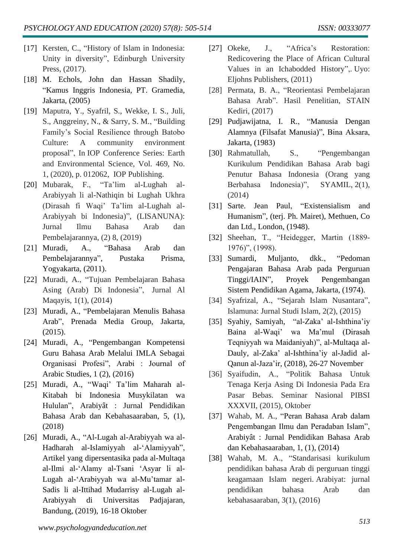- [17] Kersten, C., "History of Islam in Indonesia: Unity in diversity", Edinburgh University Press, (2017).
- [18] M. Echols, John dan Hassan Shadily, "Kamus Inggris Indonesia, PT. Gramedia, Jakarta, (2005)
- [19] Maputra, Y., Syafril, S., Wekke, I. S., Juli, S., Anggreiny, N., & Sarry, S. M., "Building Family's Social Resilience through Batobo Culture: A community environment proposal", In IOP Conference Series: Earth and Environmental Science, Vol. 469, No. 1, (2020), p. 012062, IOP Publishing.
- [20] Mubarak, F., "Ta'lim al-Lughah al-Arabiyyah li al-Nathiqin bi Lughah Ukhra (Dirasah fi Waqi' Ta'lim al-Lughah al-Arabiyyah bi Indonesia)", (LISANUNA): Jurnal Ilmu Bahasa Arab dan Pembelajarannya, (2) 8, (2019)
- [21] Muradi, A., "Bahasa Arab dan Pembelajarannya", Pustaka Prisma, Yogyakarta, (2011).
- [22] Muradi, A., "Tujuan Pembelajaran Bahasa Asing (Arab) Di Indonesia", Jurnal Al Maqayis, 1(1), (2014)
- [23] Muradi, A., "Pembelajaran Menulis Bahasa Arab", Prenada Media Group, Jakarta, (2015).
- [24] Muradi, A., "Pengembangan Kompetensi Guru Bahasa Arab Melalui IMLA Sebagai Organisasi Profesi", Arabi : Journal of Arabic Studies, 1 (2), (2016)
- [25] Muradi, A., "Waqi' Ta'lim Maharah al-Kitabah bi Indonesia Musykilatan wa Hululan", Arabiyât : Jurnal Pendidikan Bahasa Arab dan Kebahasaaraban, 5, (1), (2018)
- [26] Muradi, A., "Al-Lugah al-Arabiyyah wa al-Hadharah al-Islamiyyah al-'Alamiyyah", Artikel yang dipersentasika pada al-Multaqa al-Ilmi al-'Alamy al-Tsani 'Asyar li al-Lugah al-'Arabiyyah wa al-Mu'tamar al-Sadis li al-Ittihad Mudarrisy al-Lugah al-Arabiyyah di Universitas Padjajaran, Bandung, (2019), 16-18 Oktober
- [27] Okeke, J., "Africa's Restoration: Redicovering the Place of African Cultural Values in an Ichabodded History",. Uyo: Eljohns Publishers, (2011)
- [28] Permata, B. A., "Reorientasi Pembelajaran Bahasa Arab". Hasil Penelitian, STAIN Kediri, (2017)
- [29] Pudjawijatna, I. R., "Manusia Dengan Alamnya (Filsafat Manusia)", Bina Aksara, Jakarta, (1983)
- [30] Rahmatullah, S., "Pengembangan Kurikulum Pendidikan Bahasa Arab bagi Penutur Bahasa Indonesia (Orang yang Berbahasa Indonesia)", SYAMIL, 2(1), (2014)
- [31] Sarte. Jean Paul, "Existensialism and Humanism", (terj. Ph. Mairet), Methuen, Co dan Ltd., London, (1948).
- [32] Sheehan, T., "Heidegger, Martin (1889- 1976)", (1998).
- [33] Sumardi, Muljanto, dkk., "Pedoman Pengajaran Bahasa Arab pada Perguruan Tinggi/IAIN", Proyek Pengembangan Sistem Pendidikan Agama, Jakarta, (1974).
- [34] Syafrizal, A., "Sejarah Islam Nusantara", Islamuna: Jurnal Studi Islam, 2(2), (2015)
- [35] Syahiy, Samiyah, "al-Zaka' al-Ishthina'iy Baina al-Waqi' wa Ma'mul (Dirasah Teqniyyah wa Maidaniyah)", al-Multaqa al-Dauly, al-Zaka' al-Ishthina'iy al-Jadid al-Qanun al-Jaza'ir, (2018), 26-27 November
- [36] Syaifudin, A., "Politik Bahasa Untuk Tenaga Kerja Asing Di Indonesia Pada Era Pasar Bebas. Seminar Nasional PIBSI XXXVII, (2015), Oktober
- [37] Wahab, M. A., "Peran Bahasa Arab dalam Pengembangan Ilmu dan Peradaban Islam", Arabiyât : Jurnal Pendidikan Bahasa Arab dan Kebahasaaraban, 1, (1), (2014)
- [38] Wahab, M. A., "Standarisasi kurikulum pendidikan bahasa Arab di perguruan tinggi keagamaan Islam negeri. Arabiyat: jurnal pendidikan bahasa Arab dan kebahasaaraban, 3(1), (2016)